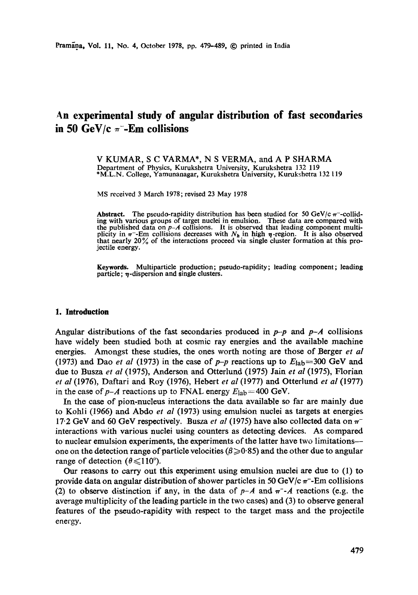# **An experimental study of angular distribution of fast secondaries**  in 50 GeV/c  $\pi$ -**Em** collisions

V KUMAR, S C VARMA\*, N S VERMA, and A P SHARMA Department of Physics, Kurukshetra University, Kurukshetra 132 119 \*M.L.N. College, Yamunanagar, Kurukshetra University, Kurukshetra 132 119

MS received 3 March 1978; revised 23 May 1978

**Abstract.** The pseudo-rapidity distribution has been studied for 50 GeV/c  $\pi$ -colliding with various groups of target nuclei in emulsion. These data are compared with the published data on *p-A* collisions. It is observed that leading component multiplicity in  $\pi$ -Em collisions decreases with  $N_h$  in high  $\eta$ -region. It is also observed that nearly  $20\%$  of the interactions proceed via single cluster formation at this projectile energy.

**Keywords.** Multiparticle production; pseudo-rapidity; leading component; leading particle;  $\eta$ -dispersion and single clusters.

#### **1. Introduction**

Angular distributions of the fast secondaries produced in  $p-p$  and  $p-A$  collisions have widely been studied both at cosmic ray energies and the available machine energies. Amongst these studies, the ones worth noting are those of Berger *et al*  (1973) and Dao *et al* (1973) in the case of  $p-p$  reactions up to  $E_{\text{lab}} = 300$  GeV and due to Busza *et al* (1975), Anderson and Otterlund (1975) Jain *et al* (1975), Florian *et al* (1976), Daftari and Roy (1976), Hebert *et al* (1977) and Otterlund *et al* (1977) in the case of  $p-A$  reactions up to FNAL energy  $E_{\text{lab}} = 400 \text{ GeV}$ .

In the case of pion-nucleus interactions the data available so far are mainly due to Kohli (1966) and Abdo *et al* (1973) using emulsion nuclei as targets at energies 17.2 GeV and 60 GeV respectively. Busza *et al* (1975) have also collected data on  $\pi$ interactions with various nuclei using counters as detecting devices. As compared to nuclear emulsion experiments, the experiments of the latter have two limitations- one on the detection range of particle velocities ( $\beta \geqslant 0.85$ ) and the other due to angular range of detection ( $\theta \leq 110^{\circ}$ ).

Our reasons to carry out this experiment using emulsion nuclei are due to (1) to provide data on angular distribution of shower particles in 50 GeV/c  $\pi$ -Em collisions (2) to observe distinction if any, in the data of  $p-A$  and  $\pi$ -A reactions (e.g. the average multiplicity of the leading particle in the two cases) and (3) to observe general features of the pseudo-rapidity with respect to the target mass and the projectile energy.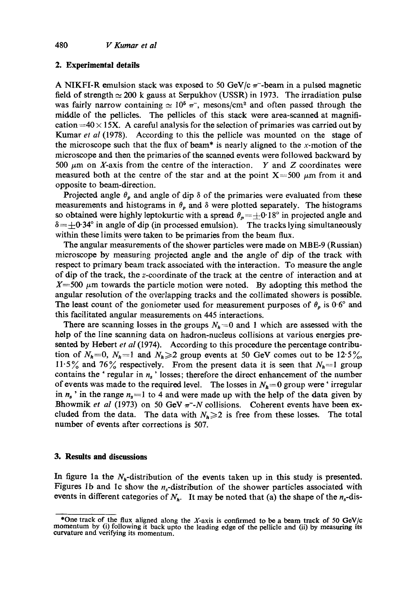## **2. Experimental details**

A NIKFI-R emulsion stack was exposed to 50 GeV/c  $\pi$ -beam in a pulsed magnetic field of strength  $\simeq 200$  k gauss at Serpukhov (USSR) in 1973. The irradiation pulse was fairly narrow containing  $\simeq 10^5$   $\pi$ , mesons/cm<sup>2</sup> and often passed through the middle of the pellicles. The pellicles of this stack were area-scanned at magnification  $=40 \times 15$ X. A careful analysis for the selection of primaries was carried out by Kumar *et al* (1978). According to this the pellicle was mounted on the stage of the microscope such that the flux of beam\* is nearly aligned to the x-motion of the microscope and then the primaries of the scanned events were followed backward by 500  $\mu$ m on X-axis from the centre of the interaction. Y and Z coordinates were measured both at the centre of the star and at the point  $X=500 \mu m$  from it and opposite to beam-direction.

Projected angle  $\theta_p$  and angle of dip  $\delta$  of the primaries were evaluated from these measurements and histograms in  $\theta_p$  and  $\delta$  were plotted separately. The histograms so obtained were highly leptokurtic with a spread  $\theta_p = \pm 0.18^\circ$  in projected angle and  $\delta = \pm 0.34^\circ$  in angle of dip (in processed emulsion). The tracks lying simultaneously within these limits were taken to be primaries from the beam flux.

The angular measurements of the shower particles were made on MBE-9 (Russian) microscope by measuring projected angle and the angle of dip of the track with respect to primary beam track associated with the interaction. To measure the angle of dip of the track, the z-coordinate of the track at the centre of interaction and at  $X=500 \mu m$  towards the particle motion were noted. By adopting this method the angular resolution of the overlapping tracks and the collimated showers is possible. The least count of the goniometer used for measurement purposes of  $\theta_p$  is 0.6° and this facilitated angular measurements on 445 interactions.

There are scanning losses in the groups  $N<sub>h</sub> = 0$  and 1 which are assessed with the help of the line scanning data on hadron-nueleus collisions at various energies presented by Hebert *et al* (1974). According to this procedure the percentage contribution of  $N_h=0$ ,  $N_h=1$  and  $N_h\geq 2$  group events at 50 GeV comes out to be 12.5%, 11.5% and 76% respectively. From the present data it is seen that  $N_h=1$  group contains the ' regular in  $n_s$ ' losses; therefore the direct enhancement of the number of events was made to the required level. The losses in  $N_h=0$  group were 'irregular in  $n_s$  ' in the range  $n_s=1$  to 4 and were made up with the help of the data given by Bhowmik *et al* (1973) on 50 GeV  $\pi$ -N collisions. Coherent events have been excluded from the data. The data with  $N_h \geq 2$  is free from these losses. The total number of events after corrections is 507.

### **3. Results and discussions**

In figure 1a the  $N_h$ -distribution of the events taken up in this study is presented. Figures 1b and 1c show the  $n_s$ -distribution of the shower particles associated with events in different categories of  $N_h$ . It may be noted that (a) the shape of the  $n_s$ -dis-

<sup>\*</sup>One track of the flux aligned along the X-axis is confirmed to be a beam track of 50 GeV/c momentum by (i) following it back upto the leading edge of the pellicle and (ii) by measuring **its**  curvature and verifying its momentum.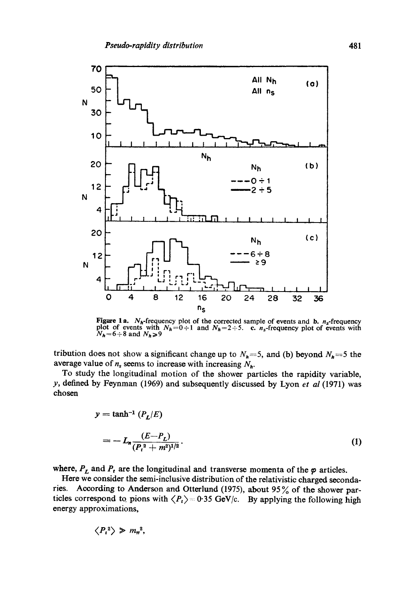

**Figure 1a.**  $N_h$ -frequency plot of the corrected sample of events and **b.**  $n_s$ -frequency plot of events with  $N_h=0\div 1$  and  $N_h=2\div 5$ . **c.**  $n_s$ -frequency plot of events with  $N_h=6\div 8$  and  $N_h \ge 9$ 

tribution does not show a significant change up to  $N_h = 5$ , and (b) beyond  $N_h = 5$  the average value of  $n_s$  seems to increase with increasing  $N_h$ .

To study the longitudinal motion of the shower particles the rapidity variable, y, defined by Feynman (1969) and subsequently discussed by Lyon  $et$  al (1971) was chosen

$$
y = \tanh^{-1} (P_L/E)
$$
  
=  $- L_n \frac{(E - P_L)}{(P_t^2 + m^2)^{1/2}}$ . (1)

where,  $P_L$  and  $P_t$  are the longitudinal and transverse momenta of the  $\varphi$  articles.

Here we consider the semi-inclusive distribution of the relativistic charged secondaries. According to Anderson and Otterlund (1975), about 95% of the shower particles correspond to pions with  $\langle P_t \rangle = 0.35$  GeV/c. By applying the following high energy approximations,

$$
\left\langle P_t^2 \right\rangle \geqslant m_\pi^2,
$$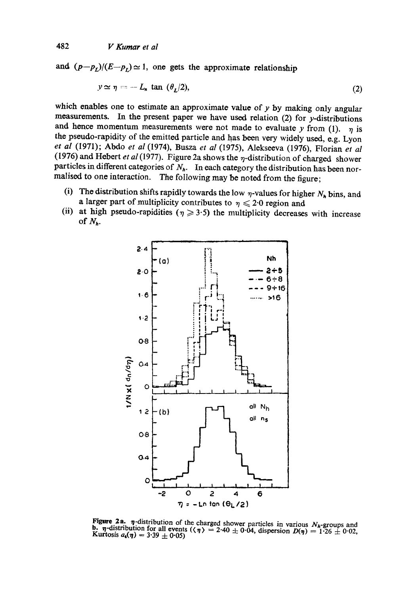and  $(p-p_t)/(E-p_t) \approx 1$ , one gets the approximate relationship

$$
y \simeq \eta = -L_n \tan (\theta_L/2), \tag{2}
$$

which enables one to estimate an approximate value of  $y$  by making only angular measurements. In the present paper we have used relation  $(2)$  for y-distributions and hence momentum measurements were not made to evaluate y from (1).  $\eta$  is the pseudo-rapidity of the emitted particle and has been very widely used, e.g. Lyon *et al* (1971); Abdo *et al* (1974), Busza *et al* (1975), Alekseeva (1976), Florian *et al*  (1976) and Hebert *et al* (1977). Figure 2a shows the  $\eta$ -distribution of charged shower particles in different categories of  $N<sub>h</sub>$ . In each category the distribution has been normalised to one interaction. The following may be noted from the figure;

- (i) The distribution shifts rapidly towards the low  $\eta$ -values for higher  $N_h$  bins, and a larger part of multiplicity contributes to  $\eta \leqslant 2.0$  region and
- (ii) at high pseudo-rapidities ( $\eta \geqslant 3.5$ ) the multiplicity decreases with increase of  $N_h$ .



Figure 2a.  $\eta$ -distribution of the charged shower particles in various  $N_h$ -groups and b.  $\eta$ -distribution for all events ( $\langle \eta \rangle = 2.40 \pm 0.04$ , dispersion  $D(\eta) = 1.26 \pm 0.02$ , Kurtosis  $a_4(\eta) = 3.39 \pm 0.05$ )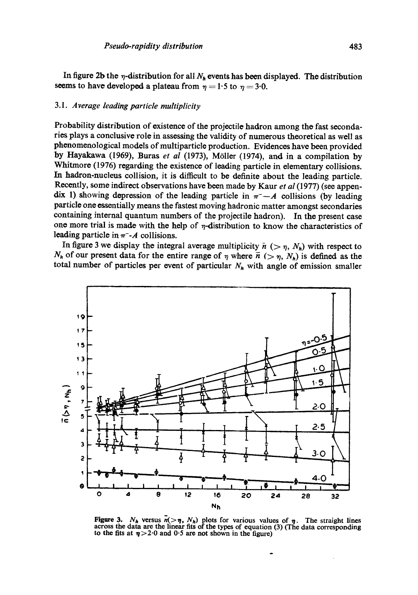In figure 2b the  $\eta$ -distribution for all  $N_h$  events has been displayed. The distribution seems to have developed a plateau from  $\eta = 1.5$  to  $\eta = 3.0$ .

### *3.1. Average leading particle multiplicity*

Probability distribution of existence of the projectile hadron among the fast secondaries plays a conclusive role in assessing the validity of numerous theoretical as well as phenomenological models of multiparticle production. Evidences have been provided by Hayakawa (1969), Buras *et al* (1973), MOiler (1974), and in a compilation by Whitmore (1976) regarding the existence of leading particle in elementary collisions. In hadron-nucleus collision, it is difficult to be definite about the leading particle. Recently, some indirect observations have been made by Kaur *et al* (1977) (see appendix 1) showing depression of the leading particle in  $\pi^-$ --A collisions (by leading particle one essentially means the fastest moving hadronic matter amongst secondaries containing internal quantum numbers of the projectile hadron). In the present case one more trial is made with the help of  $\eta$ -distribution to know the characteristics of leading particle in  $\pi$ -A collisions.

In figure 3 we display the integral average multiplicity  $\bar{n}$  ( $>\eta$ ,  $N_h$ ) with respect to  $N_h$  of our present data for the entire range of  $\eta$  where  $\bar{n}$  ( $>\eta$ ,  $N_h$ ) is defined as the total number of particles per event of particular  $N_h$  with angle of emission smaller



Figure 3.  $N_h$  versus  $\overline{n}(> \eta, N_h)$  plots for various values of  $\eta$ . The straight lines across the data are the linear fits of the types of equation (3) (The data corresponding to the fits at  $\eta > 2.0$  and 0.5 are not shown in the figure)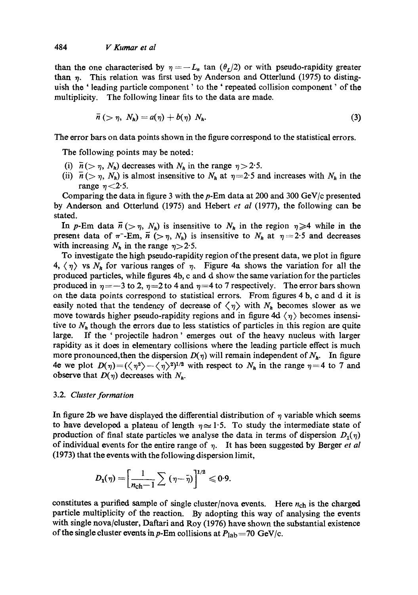than the one characterised by  $\eta = -L_n$  tan  $(\theta_L/2)$  or with pseudo-rapidity greater than  $\eta$ . This relation was first used by Anderson and Otterlund (1975) to distinguish the ' leading particle component' to the ' repeated collision component' of the multiplicity. The following linear fits to the data are made.

$$
\bar{n} > \eta, \; N_h) = a(\eta) + b(\eta) \; N_h. \tag{3}
$$

The error bars on data points shown in the figure correspond to the statistical errors.

The following points may be noted:

- (i)  $\bar{n}$  (>  $\eta$ , N<sub>h</sub>) decreases with N<sub>h</sub> in the range  $\eta$  > 2.5.
- (ii)  $\bar{n}$  ( $>\eta$ , N<sub>h</sub>) is almost insensitive to N<sub>h</sub> at  $\eta=2.5$  and increases with N<sub>h</sub> in the range  $\eta$  < 2.5.

Comparing the data in figure 3 with the  $p$ -Em data at 200 and 300 GeV/c presented by Anderson and Otterlund (1975) and Hebert *et al* (1977), the following can be stated.

In p-Em data  $\bar{n}$  ( $>\eta$ ,  $N_h$ ) is insensitive to  $N_h$  in the region  $\eta \geq 4$  while in the present data of  $\pi$ -Em,  $\vec{n}$  ( $>\eta$ ,  $N_h$ ) is insensitive to  $N_h$  at  $\eta = 2.5$  and decreases with increasing  $N_h$  in the range  $\eta > 2.5$ .

To investigate the high pseudo-rapidity region of the present data, we plot in figure  $4, \langle \eta \rangle$  vs  $N_h$  for various ranges of  $\eta$ . Figure 4a shows the variation for all the produced particles, while figures 4b, c and d show the same variation for the particles produced in  $\eta = -3$  to 2,  $\eta = 2$  to 4 and  $\eta = 4$  to 7 respectively. The error bars shown on the data points correspond to statistical errors. From figures 4 b, e and d it is easily noted that the tendency of decrease of  $\langle \eta \rangle$  with  $N_h$  becomes slower as we move towards higher pseudo-rapidity regions and in figure 4d  $\langle \eta \rangle$  becomes insensitive to  $N_h$  though the errors due to less statistics of particles in this region are quite large. If the ' projectile hadron' emerges out of the heavy nucleus with larger rapidity as it does in elementary collisions where the leading particle effect is much more pronounced, then the dispersion  $D(\eta)$  will remain independent of  $N_h$ . In figure 4e we plot  $D(\eta)=(\langle \eta^2 \rangle-\langle \eta \rangle^2)^{1/2}$  with respect to  $N_h$  in the range  $\eta=4$  to 7 and observe that  $D(\eta)$  decreases with  $N_h$ .

### 3.2. *Cluster formation*

In figure 2b we have displayed the differential distribution of  $\eta$  variable which seems to have developed a plateau of length  $\eta \approx 1.5$ . To study the intermediate state of production of final state particles we analyse the data in terms of dispersion  $D_1(\eta)$ of individual events for the entire range of  $\eta$ . It has been suggested by Berger *et al* (1973) that the events with the following dispersion limit,

$$
D_1(\eta) = \left[\frac{1}{n_{\rm ch}-1}\sum_{n_{\rm ch}-1}(\eta-\bar{\eta})\right]^{1/2} \leq 0.9.
$$

constitutes a purified sample of single cluster/nova events. Here  $n_{\text{ch}}$  is the charged particle multiplicity of the reaction. By adopting this way of analysing the events with single nova/cluster, Daftari and Roy (1976) have shown the substantial existence of the single cluster events in p-Em collisions at  $P_{\text{lab}}=70 \text{ GeV/c}$ .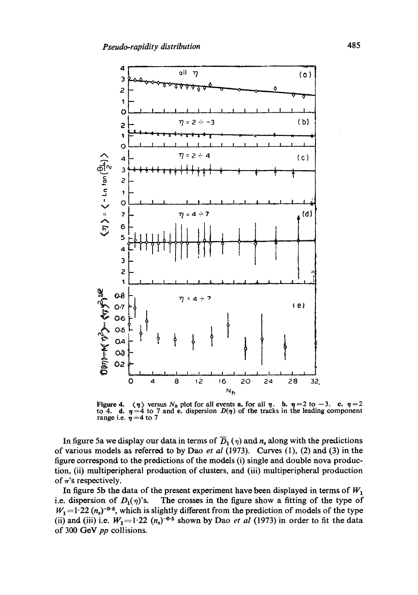

Figure 4.  $\langle \eta \rangle$  versus  $N_h$  plot for all events a. for all  $\eta$ . b.  $\eta = 2$  to  $-3$ . c.  $\eta = 2$  to 4. d.  $\eta = 4$  to 7 and e. dispersion  $D(\eta)$  of the tracks in the leading component range i.e.  $\eta = 4$  to 7

In figure 5a we display our data in terms of  $\overline{D}_1(\eta)$  and  $n_s$  along with the predictions of various models as referred to by Dao et al (1973). Curves  $(1)$ ,  $(2)$  and  $(3)$  in the figure correspond to the predictions of the models (i) single and double nova production, (ii) multiperipheral production of clusters, and (iii) multiperipheral production of  $\pi$ 's respectively.

In figure 5b the data of the present experiment have been displayed in terms of  $W_1$ i.e. dispersion of  $D_1(\eta)$ 's. The crosses in the figure show a fitting of the type of  $W_1$  = 1.22 ( $n_s$ )<sup>-0.6</sup>, which is slightly different from the prediction of models of the type (ii) and (iii) i.e.  $W_1 = 1.22$   $(n_s)^{-0.5}$  shown by Dao *et al* (1973) in order to fit the data of 300 GeV pp collisions.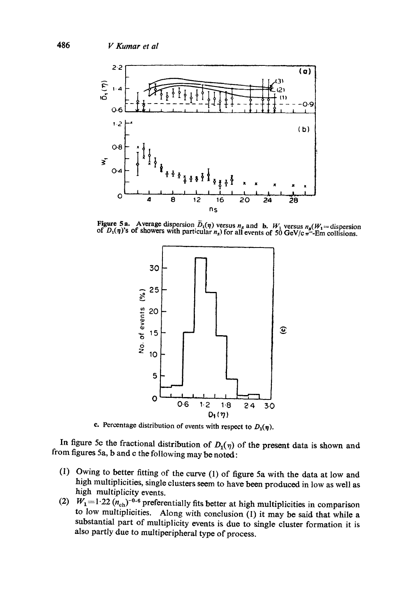

Figure 5a. Average dispersion  $D_1(\eta)$  versus  $n_s$  and b.  $W_1$  versus  $n_s(W_1 = \text{dispersion of } D_1(\eta)$ 's of showers with particular  $n_s$ ) for all events of 50 GeV/c  $\pi$ -Em collisions.



c. Percentage distribution of events with respect to  $D_1(\eta)$ .

In figure 5c the fractional distribution of  $D_1(\eta)$  of the present data is shown and from figures 5a, b and c the following may be noted:

- (1) Owing to better fitting of the curve (1) of figure 5a with the data at low and high multiplicities, single clusters seem to have been produced in low as well as high multiplicity events.
- (2)  $W_1 = 1.22 \, (n_{\text{ch}})^{-0.6}$  preferentially fits better at high multiplicities in comparison to low multiplicities. Along with conclusion  $(1)$  it may be said that while a substantial part of multiplicity events is due to single cluster formation it is also partly due to multiperipheral type of process.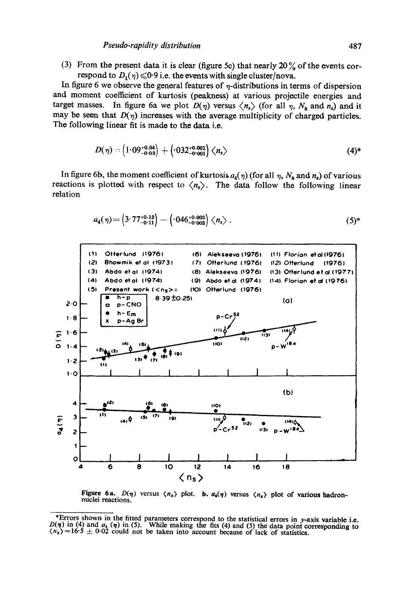(3) From the present data it is clear (figure 5c) that nearly  $20\%$  of the events correspond to  $D_1(\eta) \leq 0.9$  i.e. the events with single cluster/nova.

In figure 6 we observe the general features of  $\eta$ -distributions in terms of dispersion and moment coefficient of kurtosis (peakness) at various projectile energies and target masses. In figure 6a we plot  $D(\eta)$  versus  $\langle n_s \rangle$  (for all  $\eta$ ,  $N_h$  and  $n_s$ ) and it may be seen that  $D(\eta)$  increases with the average multiplicity of charged particles. The following linear fit is made to the data i.e.

$$
D(\eta) = \left(1.09^{+0.04}_{-0.03}\right) + \left(.032^{+0.001}_{-0.001}\right) \langle n_s \rangle \tag{4}
$$

In figure 6b, the moment coefficient of kurtosis  $a_4(\eta)$  (for all  $\eta$ ,  $N_h$  and  $n_s$ ) of various reactions is plotted with respect to  $\langle n_s \rangle$ . The data follow the following linear relation

$$
a_4(\eta) = \left(3.77^{+0.12}_{-0.11}\right) - \left(0.046^{+0.003}_{-0.003}\right) \langle n_s \rangle \ . \tag{5}
$$



Figure 6a.  $D(\eta)$  versus  $\langle n_s \rangle$  plot. b.  $a_4(\eta)$  versus  $\langle n_s \rangle$  plot of various hadronnuclei reactions.

<sup>\*</sup>Errors shown in the fitted parameters correspond to the statistical errors in y-axis variable i.e.  $D(\eta)$  in (4) and  $a_4(\eta)$  in (5). While making the fits (4) and (5) the data point corresponding to  $\langle n_s \rangle = 16.5 \pm 0.02$  could not be taken into account because of lack of statistics.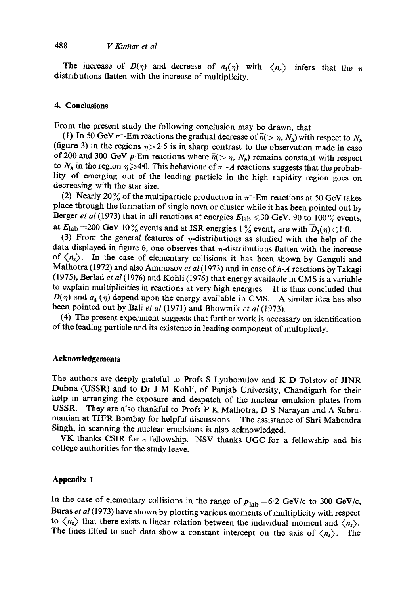# 488 *V Kumar et al*

The increase of  $D(\eta)$  and decrease of  $a_4(\eta)$  with  $\langle n_s \rangle$  infers that the distributions flatten with the increase of multiplicity.

# **4. Conclusions**

From the present study the following conclusion may be drawn, that

(1) In 50 GeV  $\pi$ -Em reactions the gradual decrease of  $\bar{n}(> \eta, N_h)$  with respect to  $N_h$ (figure 3) in the regions  $\eta > 2.5$  is in sharp contrast to the observation made in case of 200 and 300 GeV p-Em reactions where  $\bar{n}(>\eta, N_h)$  remains constant with respect to  $N_h$  in the region  $\eta \geq 4.0$ . This behaviour of  $\pi^-$ -A reactions suggests that the probablity of emerging out of the leading particle in the high rapidity region goes on decreasing with the star size.

(2) Nearly 20% of the multiparticle production in  $\pi$ -Em reactions at 50 GeV takes place through the formation of single nova or cluster while it has been pointed out by Berger *et al* (1973) that in all reactions at energies  $E_{\text{lab}} \le 30$  GeV, 90 to 100% events, at  $E_{\rm lab} = 200$  GeV 10% events and at ISR energies 1% event, are with  $D_1(\eta) \le 1.0$ .

(3) From the general features of  $\eta$ -distributions as studied with the help of the data displayed in figure 6, one observes that  $\eta$ -distributions flatten with the increase of  $\langle n_{s} \rangle$ . In the case of elementary collisions it has been shown by Ganguli and Malhotra (1972) and also Ammosov *et al* (1973) and in case of *h-A* reactions by Takagi (1975), Berlad *et al* (1976) and Kohli (1976) that energy available in CMS is a variable to explain multiplicities in reactions at very high energies. It is thus concluded that  $D(\eta)$  and  $a_4(\eta)$  depend upon the energy available in CMS. A similar idea has also been pointed out by Bali *et al* (1971) and Bhowmik *et al* (1973).

(4) The present experiment suggests that further work is necessary on identification of the leading particle and its existence in leading component of multiplicity.

#### **Acknowledgements**

The authors are deeply grateful to Profs S Lyubomilov and K D Tolstov of JINR Dubna (USSR) and to Dr J M Kohli, of Panjab University, Chandigarh for their help in arranging the exposure and despatch of the nuclear emulsion plates from USSR. They are also thankful to Profs  $P K$  Malhotra. D.S. Narayan and A Subra-They are also thankful to Profs P K Malhotra, D S Narayan and A Subramanian at TIFR Bombay for helpful discussions. The assistance of Shri Mahendra Singh, in scanning the nuclear emulsions is also acknowledged.

VK thanks CSIR for a fellowship. NSV thanks UGC for a fellowship and his college authorities for the study leave.

### **Appendix 1**

In the case of elementary collisions in the range of  $p_{\text{lab}}=6.2 \text{ GeV/c}$  to 300 GeV/c, Buras *et al* (1973) have shown by plotting various moments of multiplicity with respect to  $\langle n_s \rangle$  that there exists a linear relation between the individual moment and  $\langle n_s \rangle$ . The lines fitted to such data show a constant intercept on the axis of  $\langle n_s \rangle$ . The